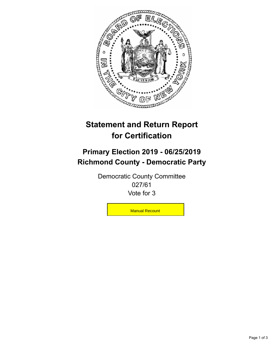

## **Statement and Return Report for Certification**

## **Primary Election 2019 - 06/25/2019 Richmond County - Democratic Party**

Democratic County Committee 027/61 Vote for 3

**Manual Recount**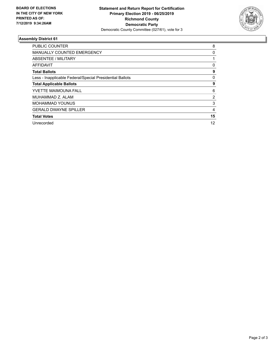

## **Assembly District 61**

| <b>PUBLIC COUNTER</b>                                    | 8  |
|----------------------------------------------------------|----|
| <b>MANUALLY COUNTED EMERGENCY</b>                        | 0  |
| ABSENTEE / MILITARY                                      |    |
| AFFIDAVIT                                                | 0  |
| <b>Total Ballots</b>                                     | 9  |
| Less - Inapplicable Federal/Special Presidential Ballots | 0  |
| <b>Total Applicable Ballots</b>                          | 9  |
| <b>YVETTE MAIMOUNA FALL</b>                              | 6  |
| MUHAMMAD Z. ALAM                                         | 2  |
| <b>MOHAMMAD YOUNUS</b>                                   | 3  |
| <b>GERALD DWAYNE SPILLER</b>                             | 4  |
| <b>Total Votes</b>                                       | 15 |
| Unrecorded                                               | 12 |